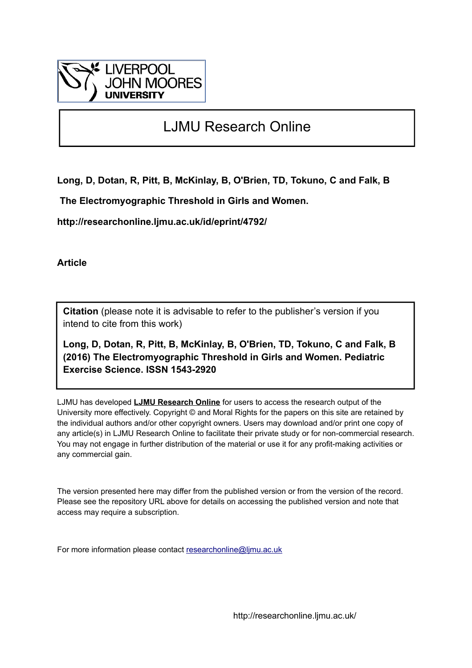

# LJMU Research Online

**Long, D, Dotan, R, Pitt, B, McKinlay, B, O'Brien, TD, Tokuno, C and Falk, B**

 **The Electromyographic Threshold in Girls and Women.**

**http://researchonline.ljmu.ac.uk/id/eprint/4792/**

**Article**

**Citation** (please note it is advisable to refer to the publisher's version if you intend to cite from this work)

**Long, D, Dotan, R, Pitt, B, McKinlay, B, O'Brien, TD, Tokuno, C and Falk, B (2016) The Electromyographic Threshold in Girls and Women. Pediatric Exercise Science. ISSN 1543-2920** 

LJMU has developed **[LJMU Research Online](http://researchonline.ljmu.ac.uk/)** for users to access the research output of the University more effectively. Copyright © and Moral Rights for the papers on this site are retained by the individual authors and/or other copyright owners. Users may download and/or print one copy of any article(s) in LJMU Research Online to facilitate their private study or for non-commercial research. You may not engage in further distribution of the material or use it for any profit-making activities or any commercial gain.

The version presented here may differ from the published version or from the version of the record. Please see the repository URL above for details on accessing the published version and note that access may require a subscription.

For more information please contact [researchonline@ljmu.ac.uk](mailto:researchonline@ljmu.ac.uk)

http://researchonline.ljmu.ac.uk/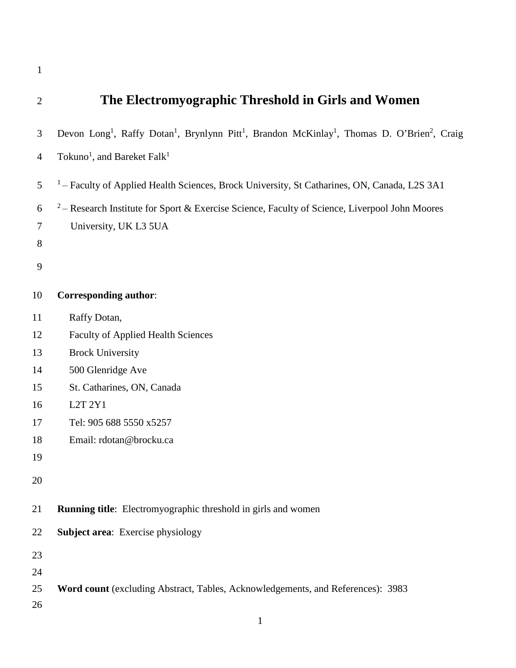| $\overline{2}$ | The Electromyographic Threshold in Girls and Women                                                                                                       |
|----------------|----------------------------------------------------------------------------------------------------------------------------------------------------------|
| 3              | Devon Long <sup>1</sup> , Raffy Dotan <sup>1</sup> , Brynlynn Pitt <sup>1</sup> , Brandon McKinlay <sup>1</sup> , Thomas D. O'Brien <sup>2</sup> , Craig |
| $\overline{4}$ | Tokuno <sup>1</sup> , and Bareket Falk <sup>1</sup>                                                                                                      |
| 5              | <sup>1</sup> – Faculty of Applied Health Sciences, Brock University, St Catharines, ON, Canada, L2S 3A1                                                  |
| 6              | <sup>2</sup> – Research Institute for Sport & Exercise Science, Faculty of Science, Liverpool John Moores                                                |
| $\tau$         | University, UK L3 5UA                                                                                                                                    |
| 8              |                                                                                                                                                          |
| 9              |                                                                                                                                                          |
| 10             | <b>Corresponding author:</b>                                                                                                                             |
| 11             | Raffy Dotan,                                                                                                                                             |
| 12             | <b>Faculty of Applied Health Sciences</b>                                                                                                                |
| 13             | <b>Brock University</b>                                                                                                                                  |
| 14             | 500 Glenridge Ave                                                                                                                                        |
| 15             | St. Catharines, ON, Canada                                                                                                                               |
| 16             | L2T 2Y1                                                                                                                                                  |
| 17             | Tel: 905 688 5550 x5257                                                                                                                                  |
| 18             | Email: rdotan@brocku.ca                                                                                                                                  |
| 19             |                                                                                                                                                          |
| 20             |                                                                                                                                                          |
| 21             | <b>Running title:</b> Electromyographic threshold in girls and women                                                                                     |
| 22             | <b>Subject area:</b> Exercise physiology                                                                                                                 |
| 23             |                                                                                                                                                          |
| 24             |                                                                                                                                                          |
| 25             | Word count (excluding Abstract, Tables, Acknowledgements, and References): 3983                                                                          |
| 26             |                                                                                                                                                          |
|                | $\mathbf{1}$                                                                                                                                             |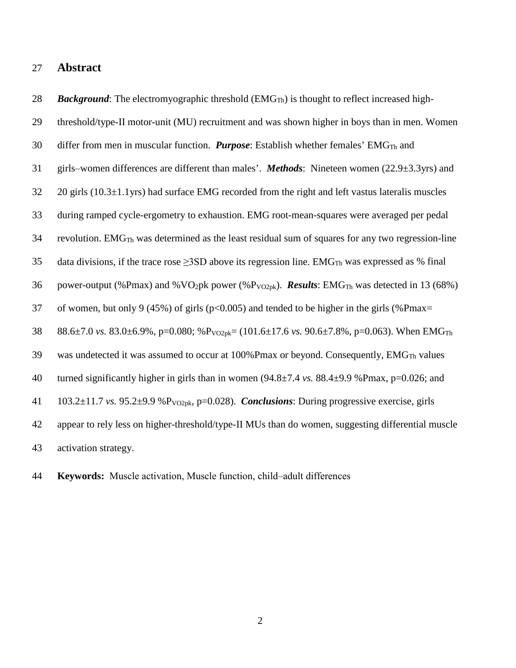#### **Abstract**

28 *Background*: The electromyographic threshold (EMG<sub>Th</sub>) is thought to reflect increased high- threshold/type-II motor-unit (MU) recruitment and was shown higher in boys than in men. Women 30 differ from men in muscular function. *Purpose*: Establish whether females' EMG<sub>Th</sub> and girls‒women differences are different than males'. *Methods*: Nineteen women (22.9±3.3yrs) and 20 girls (10.3±1.1yrs) had surface EMG recorded from the right and left vastus lateralis muscles during ramped cycle-ergometry to exhaustion. EMG root-mean-squares were averaged per pedal revolution. EMG<sub>Th</sub> was determined as the least residual sum of squares for any two regression-line 35 data divisions, if the trace rose  $\geq$ 3SD above its regression line. EMG<sub>Th</sub> was expressed as % final 36 power-output (%Pmax) and %VO<sub>2</sub>pk power (%P<sub>VO2pk</sub>). *Results*: EMG<sub>Th</sub> was detected in 13 (68%) 37 of women, but only 9 (45%) of girls ( $p<0.005$ ) and tended to be higher in the girls (%Pmax= 88.6±7.0 *vs.* 83.0±6.9%, p=0.080; %PVO2pk= (101.6±17.6 *vs.* 90.6±7.8%, p=0.063). When EMGTh 39 was undetected it was assumed to occur at  $100\%$  Pmax or beyond. Consequently, EMG<sub>Th</sub> values turned significantly higher in girls than in women (94.8±7.4 *vs.* 88.4±9.9 %Pmax, p=0.026; and 41  $103.2\pm11.7$  *vs.* 95.2 $\pm$ 9.9 %P<sub>VO2pk</sub>, p=0.028). *Conclusions*: During progressive exercise, girls appear to rely less on higher-threshold/type-II MUs than do women, suggesting differential muscle activation strategy.

**Keywords:** Muscle activation, Muscle function, child‒adult differences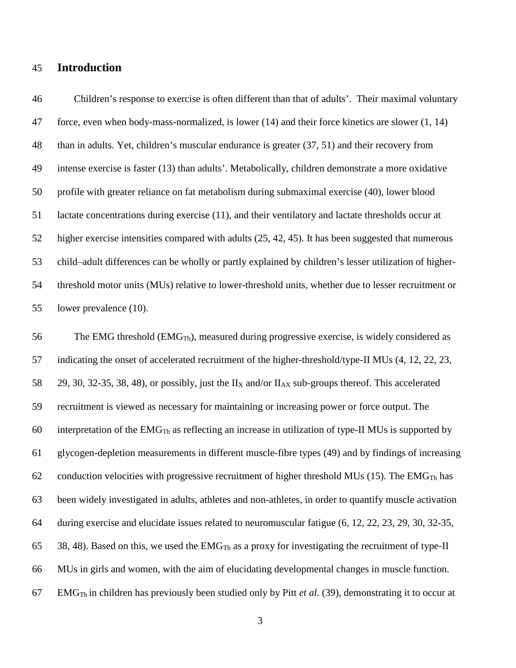#### **Introduction**

 Children's response to exercise is often different than that of adults'. Their maximal voluntary force, even when body-mass-normalized, is lower (14) and their force kinetics are slower (1, 14) than in adults. Yet, children's muscular endurance is greater (37, 51) and their recovery from intense exercise is faster (13) than adults'. Metabolically, children demonstrate a more oxidative profile with greater reliance on fat metabolism during submaximal exercise (40), lower blood lactate concentrations during exercise (11), and their ventilatory and lactate thresholds occur at higher exercise intensities compared with adults (25, 42, 45). It has been suggested that numerous 53 child–adult differences can be wholly or partly explained by children's lesser utilization of higher- threshold motor units (MUs) relative to lower-threshold units, whether due to lesser recruitment or lower prevalence (10).

 The EMG threshold (EMG<sub>Th</sub>), measured during progressive exercise, is widely considered as indicating the onset of accelerated recruitment of the higher-threshold/type-II MUs (4, 12, 22, 23, 58 29, 30, 32-35, 38, 48), or possibly, just the II<sub>X</sub> and/or II<sub>AX</sub> sub-groups thereof. This accelerated recruitment is viewed as necessary for maintaining or increasing power or force output. The 60 interpretation of the  $EMG<sub>Th</sub>$  as reflecting an increase in utilization of type-II MUs is supported by glycogen-depletion measurements in different muscle-fibre types (49) and by findings of increasing 62 conduction velocities with progressive recruitment of higher threshold MUs (15). The EMG<sub>Th</sub> has been widely investigated in adults, athletes and non-athletes, in order to quantify muscle activation during exercise and elucidate issues related to neuromuscular fatigue (6, 12, 22, 23, 29, 30, 32-35, 65 38, 48). Based on this, we used the EMG<sub>Th</sub> as a proxy for investigating the recruitment of type-II MUs in girls and women, with the aim of elucidating developmental changes in muscle function. EMGTh in children has previously been studied only by Pitt *et al.* (39), demonstrating it to occur at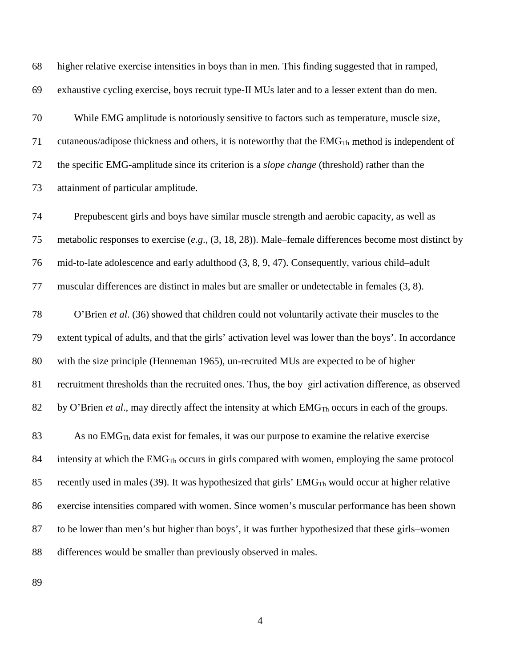| 69 | exhaustive cycling exercise, boys recruit type-II MUs later and to a lesser extent than do men.               |
|----|---------------------------------------------------------------------------------------------------------------|
| 70 | While EMG amplitude is notoriously sensitive to factors such as temperature, muscle size,                     |
| 71 | cutaneous/adipose thickness and others, it is noteworthy that the $EMGTh$ method is independent of            |
| 72 | the specific EMG-amplitude since its criterion is a <i>slope change</i> (threshold) rather than the           |
| 73 | attainment of particular amplitude.                                                                           |
| 74 | Prepubescent girls and boys have similar muscle strength and aerobic capacity, as well as                     |
| 75 | metabolic responses to exercise $(e.g., (3, 18, 28))$ . Male–female differences become most distinct by       |
| 76 | mid-to-late adolescence and early adulthood (3, 8, 9, 47). Consequently, various child-adult                  |
| 77 | muscular differences are distinct in males but are smaller or undetectable in females (3, 8).                 |
| 78 | O'Brien et al. (36) showed that children could not voluntarily activate their muscles to the                  |
| 79 | extent typical of adults, and that the girls' activation level was lower than the boys'. In accordance        |
| 80 | with the size principle (Henneman 1965), un-recruited MUs are expected to be of higher                        |
| 81 | recruitment thresholds than the recruited ones. Thus, the boy-girl activation difference, as observed         |
| 82 | by O'Brien et al., may directly affect the intensity at which EMG <sub>Th</sub> occurs in each of the groups. |
| 83 | As no $EMGTh$ data exist for females, it was our purpose to examine the relative exercise                     |
| 84 | intensity at which the $EMGTh$ occurs in girls compared with women, employing the same protocol               |
| 85 | recently used in males (39). It was hypothesized that girls' EMG <sub>Th</sub> would occur at higher relative |
| 86 | exercise intensities compared with women. Since women's muscular performance has been shown                   |
| 87 | to be lower than men's but higher than boys', it was further hypothesized that these girls-women              |
| 88 | differences would be smaller than previously observed in males.                                               |
|    |                                                                                                               |

higher relative exercise intensities in boys than in men. This finding suggested that in ramped,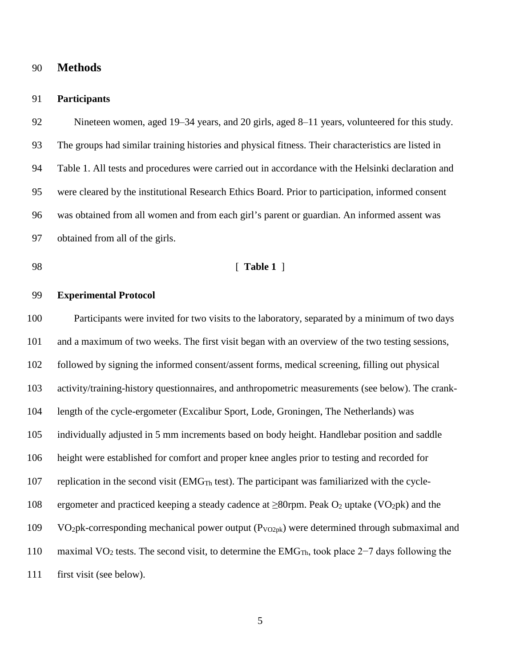#### **Methods**

#### **Participants**

92 Nineteen women, aged 19–34 years, and 20 girls, aged 8–11 years, volunteered for this study. The groups had similar training histories and physical fitness. Their characteristics are listed in Table 1. All tests and procedures were carried out in accordance with the Helsinki declaration and were cleared by the institutional Research Ethics Board. Prior to participation, informed consent was obtained from all women and from each girl's parent or guardian. An informed assent was obtained from all of the girls.

#### [ **Table 1** ]

#### **Experimental Protocol**

 Participants were invited for two visits to the laboratory, separated by a minimum of two days and a maximum of two weeks. The first visit began with an overview of the two testing sessions, followed by signing the informed consent/assent forms, medical screening, filling out physical activity/training-history questionnaires, and anthropometric measurements (see below). The crank- length of the cycle-ergometer (Excalibur Sport, Lode, Groningen, The Netherlands) was individually adjusted in 5 mm increments based on body height. Handlebar position and saddle height were established for comfort and proper knee angles prior to testing and recorded for 107 replication in the second visit ( $EMG<sub>Th</sub>$  test). The participant was familiarized with the cycle-108 ergometer and practiced keeping a steady cadence at  $\geq 80$ rpm. Peak O<sub>2</sub> uptake (VO<sub>2</sub>pk) and the 109 VO<sub>2</sub>pk-corresponding mechanical power output  $(P_{VO2pk})$  were determined through submaximal and 110 maximal VO<sub>2</sub> tests. The second visit, to determine the EMG<sub>Th</sub>, took place 2−7 days following the first visit (see below).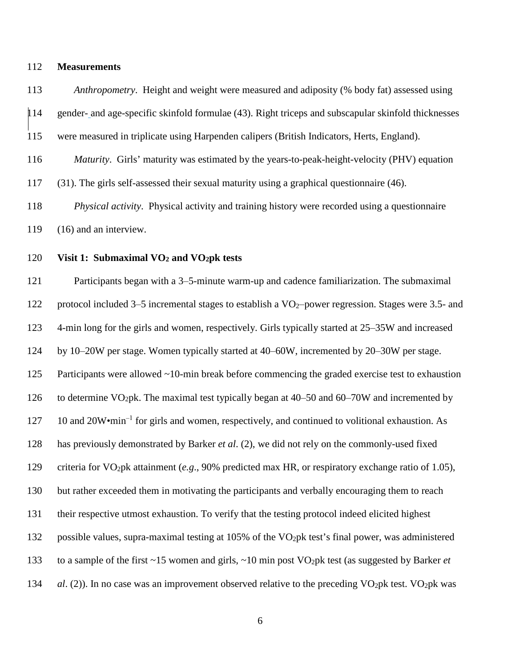#### **Measurements**

 *Anthropometry*. Height and weight were measured and adiposity (% body fat) assessed using gender- and age-specific skinfold formulae (43). Right triceps and subscapular skinfold thicknesses were measured in triplicate using Harpenden calipers (British Indicators, Herts, England). *Maturity*. Girls' maturity was estimated by the years-to-peak-height-velocity (PHV) equation (31). The girls self-assessed their sexual maturity using a graphical questionnaire (46).

*Physical activity*. Physical activity and training history were recorded using a questionnaire

(16) and an interview.

#### **Visit 1: Submaximal VO2 and VO2pk tests**

121 Participants began with a 3–5-minute warm-up and cadence familiarization. The submaximal 122 protocol included 3–5 incremental stages to establish a VO<sub>2</sub>-power regression. Stages were 3.5- and 123 4-min long for the girls and women, respectively. Girls typically started at 25–35W and increased 124 by 10–20W per stage. Women typically started at 40–60W, incremented by 20–30W per stage. 125 Participants were allowed ~10-min break before commencing the graded exercise test to exhaustion 126 to determine VO<sub>2</sub>pk. The maximal test typically began at 40–50 and 60–70W and incremented by 10 and  $20W \cdot min^{-1}$  for girls and women, respectively, and continued to volitional exhaustion. As has previously demonstrated by Barker *et al*. (2), we did not rely on the commonly-used fixed criteria for VO2pk attainment (*e.g*., 90% predicted max HR, or respiratory exchange ratio of 1.05), but rather exceeded them in motivating the participants and verbally encouraging them to reach their respective utmost exhaustion. To verify that the testing protocol indeed elicited highest 132 possible values, supra-maximal testing at 105% of the VO<sub>2</sub>pk test's final power, was administered 133 to a sample of the first ~15 women and girls, ~10 min post VO<sub>2</sub>pk test (as suggested by Barker *et* 134 *al.* (2)). In no case was an improvement observed relative to the preceding VO<sub>2</sub>pk test. VO<sub>2</sub>pk was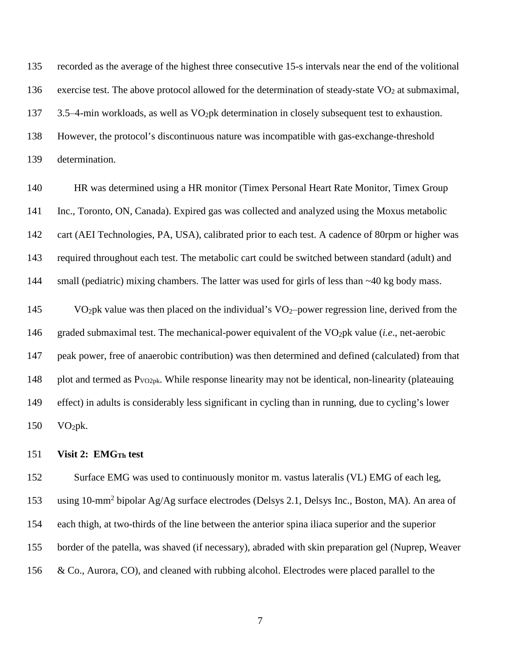recorded as the average of the highest three consecutive 15-s intervals near the end of the volitional 136 exercise test. The above protocol allowed for the determination of steady-state  $VO<sub>2</sub>$  at submaximal, 137 3.5–4-min workloads, as well as  $VO<sub>2</sub>pk determination$  in closely subsequent test to exhaustion. However, the protocol's discontinuous nature was incompatible with gas-exchange-threshold determination.

 HR was determined using a HR monitor (Timex Personal Heart Rate Monitor, Timex Group Inc., Toronto, ON, Canada). Expired gas was collected and analyzed using the Moxus metabolic cart (AEI Technologies, PA, USA), calibrated prior to each test. A cadence of 80rpm or higher was required throughout each test. The metabolic cart could be switched between standard (adult) and 144 small (pediatric) mixing chambers. The latter was used for girls of less than ~40 kg body mass.

145 VO<sub>2</sub>pk value was then placed on the individual's VO<sub>2</sub>-power regression line, derived from the 146 graded submaximal test. The mechanical-power equivalent of the VO<sub>2</sub>pk value (*i.e.*, net-aerobic peak power, free of anaerobic contribution) was then determined and defined (calculated) from that 148 plot and termed as  $P_{VO2pk}$ . While response linearity may not be identical, non-linearity (plateauing effect) in adults is considerably less significant in cycling than in running, due to cycling's lower VO2pk.

#### **Visit 2: EMGTh test**

152 Surface EMG was used to continuously monitor m. vastus lateralis (VL) EMG of each leg, 153 using 10-mm<sup>2</sup> bipolar Ag/Ag surface electrodes (Delsys 2.1, Delsys Inc., Boston, MA). An area of each thigh, at two-thirds of the line between the anterior spina iliaca superior and the superior border of the patella, was shaved (if necessary), abraded with skin preparation gel (Nuprep, Weaver 156 & Co., Aurora, CO), and cleaned with rubbing alcohol. Electrodes were placed parallel to the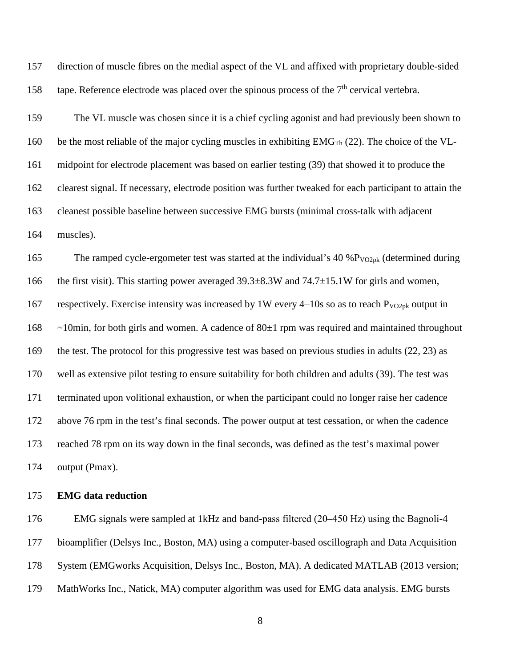direction of muscle fibres on the medial aspect of the VL and affixed with proprietary double-sided 158 tape. Reference electrode was placed over the spinous process of the  $7<sup>th</sup>$  cervical vertebra.

 The VL muscle was chosen since it is a chief cycling agonist and had previously been shown to 160 be the most reliable of the major cycling muscles in exhibiting  $EMG<sub>Th</sub>$  (22). The choice of the VL- midpoint for electrode placement was based on earlier testing (39) that showed it to produce the clearest signal. If necessary, electrode position was further tweaked for each participant to attain the cleanest possible baseline between successive EMG bursts (minimal cross-talk with adjacent muscles).

165 The ramped cycle-ergometer test was started at the individual's 40 % $P_{VO2pk}$  (determined during 166 the first visit). This starting power averaged 39.3 $\pm$ 8.3W and 74.7 $\pm$ 15.1W for girls and women, 167 respectively. Exercise intensity was increased by 1W every  $4-10s$  so as to reach P<sub>VO2pk</sub> output in  $\sim$ 10min, for both girls and women. A cadence of 80 $\pm$ 1 rpm was required and maintained throughout the test. The protocol for this progressive test was based on previous studies in adults (22, 23) as well as extensive pilot testing to ensure suitability for both children and adults (39). The test was terminated upon volitional exhaustion, or when the participant could no longer raise her cadence above 76 rpm in the test's final seconds. The power output at test cessation, or when the cadence reached 78 rpm on its way down in the final seconds, was defined as the test's maximal power output (Pmax).

#### **EMG data reduction**

 EMG signals were sampled at 1kHz and band-pass filtered (20‒450 Hz) using the Bagnoli-4 bioamplifier (Delsys Inc., Boston, MA) using a computer-based oscillograph and Data Acquisition System (EMGworks Acquisition, Delsys Inc., Boston, MA). A dedicated MATLAB (2013 version; MathWorks Inc., Natick, MA) computer algorithm was used for EMG data analysis. EMG bursts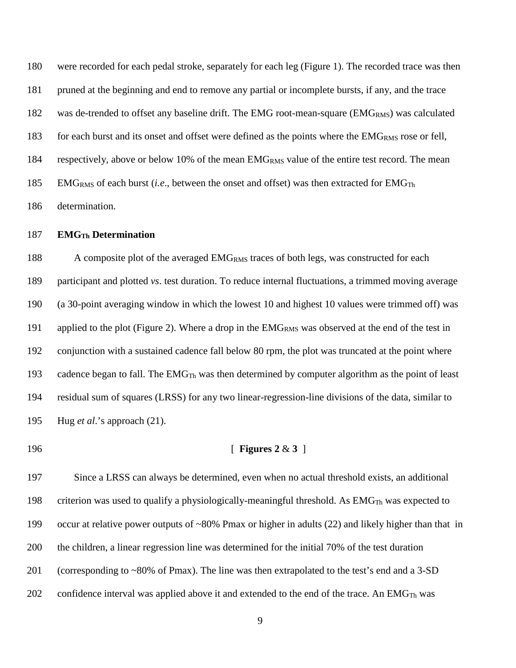were recorded for each pedal stroke, separately for each leg (Figure 1). The recorded trace was then pruned at the beginning and end to remove any partial or incomplete bursts, if any, and the trace 182 was de-trended to offset any baseline drift. The EMG root-mean-square (EMG<sub>RMS</sub>) was calculated 183 for each burst and its onset and offset were defined as the points where the EMG<sub>RMS</sub> rose or fell, 184 respectively, above or below 10% of the mean EMG<sub>RMS</sub> value of the entire test record. The mean 185 EMG<sub>RMS</sub> of each burst (*i.e.*, between the onset and offset) was then extracted for EMG<sub>Th</sub> determination.

#### **EMGTh Determination**

188 A composite plot of the averaged EMG<sub>RMS</sub> traces of both legs, was constructed for each participant and plotted *vs*. test duration. To reduce internal fluctuations, a trimmed moving average (a 30-point averaging window in which the lowest 10 and highest 10 values were trimmed off) was 191 applied to the plot (Figure 2). Where a drop in the EMG<sub>RMS</sub> was observed at the end of the test in conjunction with a sustained cadence fall below 80 rpm, the plot was truncated at the point where 193 cadence began to fall. The  $EMG<sub>Th</sub>$  was then determined by computer algorithm as the point of least residual sum of squares (LRSS) for any two linear-regression-line divisions of the data, similar to Hug *et al*.'s approach (21).

#### [ **Figures 2** & **3** ]

 Since a LRSS can always be determined, even when no actual threshold exists, an additional 198 criterion was used to qualify a physiologically-meaningful threshold. As  $EMG<sub>Th</sub>$  was expected to occur at relative power outputs of ~80% Pmax or higher in adults (22) and likely higher than that in the children, a linear regression line was determined for the initial 70% of the test duration (corresponding to ~80% of Pmax). The line was then extrapolated to the test's end and a 3-SD 202 confidence interval was applied above it and extended to the end of the trace. An EMG<sub>Th</sub> was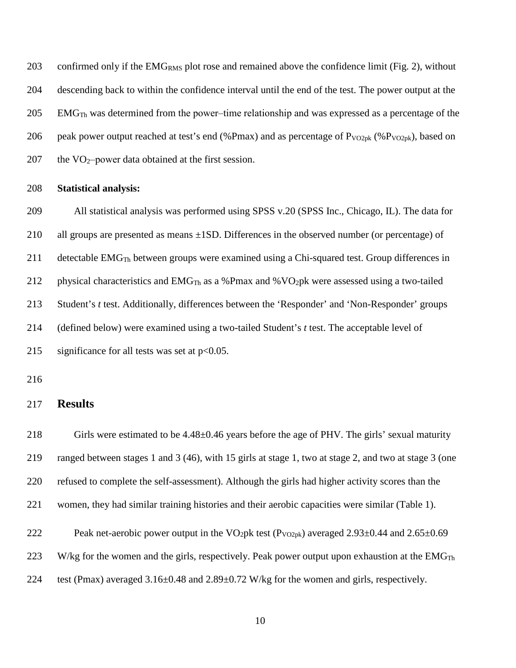203 confirmed only if the EMG<sub>RMS</sub> plot rose and remained above the confidence limit (Fig. 2), without descending back to within the confidence interval until the end of the test. The power output at the EMG<sub>Th</sub> was determined from the power-time relationship and was expressed as a percentage of the 206 peak power output reached at test's end (%Pmax) and as percentage of  $P_{VO2pk}$  (%P<sub>VO2pk</sub>), based on 207 the  $VO_2$ -power data obtained at the first session.

#### **Statistical analysis:**

 All statistical analysis was performed using SPSS v.20 (SPSS Inc., Chicago, IL). The data for all groups are presented as means ±1SD. Differences in the observed number (or percentage) of detectable EMGTh between groups were examined using a Chi-squared test. Group differences in 212 physical characteristics and  $EMG<sub>Th</sub>$  as a %Pmax and %VO<sub>2</sub>pk were assessed using a two-tailed Student's *t* test. Additionally, differences between the 'Responder' and 'Non-Responder' groups (defined below) were examined using a two-tailed Student's *t* test. The acceptable level of 215 significance for all tests was set at  $p<0.05$ .

#### **Results**

 Girls were estimated to be 4.48±0.46 years before the age of PHV. The girls' sexual maturity ranged between stages 1 and 3 (46), with 15 girls at stage 1, two at stage 2, and two at stage 3 (one refused to complete the self-assessment). Although the girls had higher activity scores than the women, they had similar training histories and their aerobic capacities were similar (Table 1). 222 Peak net-aerobic power output in the VO<sub>2</sub>pk test ( $P_{VO2pk}$ ) averaged 2.93 $\pm$ 0.44 and 2.65 $\pm$ 0.69 223 W/kg for the women and the girls, respectively. Peak power output upon exhaustion at the EMG<sub>Th</sub> test (Pmax) averaged 3.16±0.48 and 2.89±0.72 W/kg for the women and girls, respectively.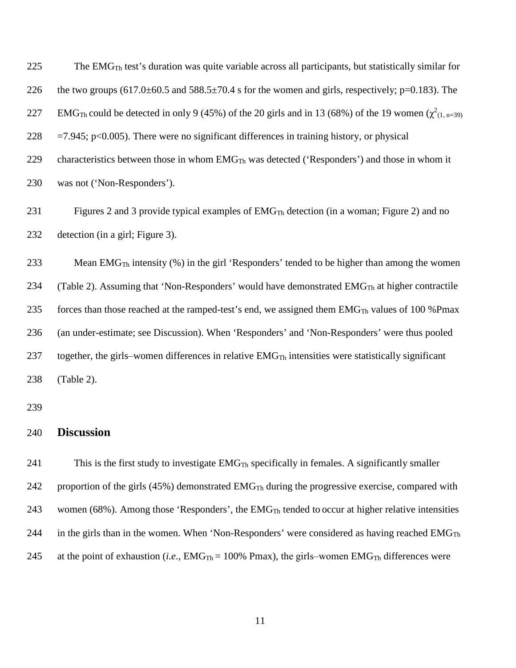| 225 | The EMG <sub>Th</sub> test's duration was quite variable across all participants, but statistically similar for                     |
|-----|-------------------------------------------------------------------------------------------------------------------------------------|
| 226 | the two groups $(617.0 \pm 60.5$ and $588.5 \pm 70.4$ s for the women and girls, respectively; p=0.183). The                        |
| 227 | EMG <sub>Th</sub> could be detected in only 9 (45%) of the 20 girls and in 13 (68%) of the 19 women ( $\chi^2$ <sub>(1, n=39)</sub> |
| 228 | $=7.945$ ; p<0.005). There were no significant differences in training history, or physical                                         |
| 229 | characteristics between those in whom $EMGTh$ was detected ('Responders') and those in whom it                                      |
| 230 | was not ('Non-Responders').                                                                                                         |
| 231 | Figures 2 and 3 provide typical examples of $EMGTh$ detection (in a woman; Figure 2) and no                                         |
| 232 | detection (in a girl; Figure 3).                                                                                                    |
| 233 | Mean EMG <sub>Th</sub> intensity $(\%)$ in the girl 'Responders' tended to be higher than among the women                           |
| 234 | (Table 2). Assuming that 'Non-Responders' would have demonstrated EMG <sub>Th</sub> at higher contractile                           |
| 235 | forces than those reached at the ramped-test's end, we assigned them EMG <sub>Th</sub> values of 100 %Pmax                          |
| 236 | (an under-estimate; see Discussion). When 'Responders' and 'Non-Responders' were thus pooled                                        |
| 237 | together, the girls-women differences in relative $EMGTh$ intensities were statistically significant                                |
| 238 | (Table 2).                                                                                                                          |
| 239 |                                                                                                                                     |
| 240 | <b>Discussion</b>                                                                                                                   |
| 241 | This is the first study to investigate $EMGTh$ specifically in females. A significantly smaller                                     |

242 proportion of the girls (45%) demonstrated EMG<sub>Th</sub> during the progressive exercise, compared with

243 women (68%). Among those 'Responders', the EMG<sub>Th</sub> tended to occur at higher relative intensities

- 244 in the girls than in the women. When 'Non-Responders' were considered as having reached  $EMG_{Th}$
- 245 at the point of exhaustion (*i.e.*,  $EMG_{Th} = 100\%$  Pmax), the girls–women  $EMG_{Th}$  differences were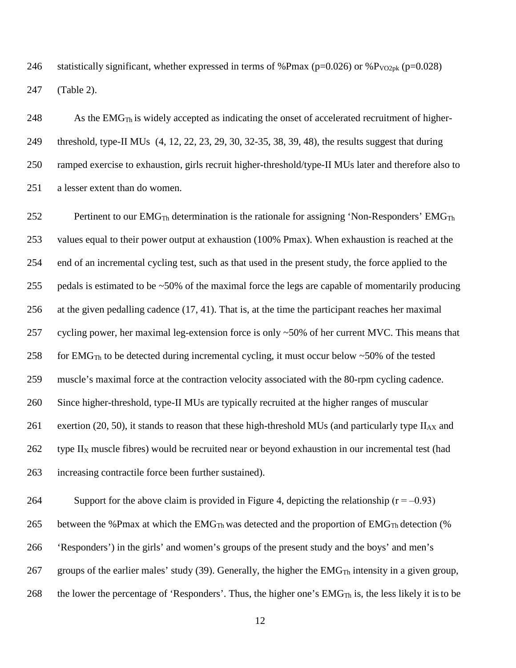246 statistically significant, whether expressed in terms of %Pmax ( $p=0.026$ ) or %P<sub>VO2pk</sub> ( $p=0.028$ ) (Table 2).

248 As the EMG $_{Th}$  is widely accepted as indicating the onset of accelerated recruitment of higher- threshold, type-II MUs (4, 12, 22, 23, 29, 30, 32-35, 38, 39, 48), the results suggest that during ramped exercise to exhaustion, girls recruit higher-threshold/type-II MUs later and therefore also to a lesser extent than do women.

252 Pertinent to our  $EMG_{Th}$  determination is the rationale for assigning 'Non-Responders'  $EMG_{Th}$  values equal to their power output at exhaustion (100% Pmax). When exhaustion is reached at the end of an incremental cycling test, such as that used in the present study, the force applied to the pedals is estimated to be ~50% of the maximal force the legs are capable of momentarily producing at the given pedalling cadence (17, 41). That is, at the time the participant reaches her maximal cycling power, her maximal leg-extension force is only ~50% of her current MVC. This means that 258 for EMG<sub>Th</sub> to be detected during incremental cycling, it must occur below  $\sim$  50% of the tested muscle's maximal force at the contraction velocity associated with the 80-rpm cycling cadence. Since higher-threshold, type-II MUs are typically recruited at the higher ranges of muscular 261 exertion (20, 50), it stands to reason that these high-threshold MUs (and particularly type  $II_{AX}$  and type II<sub>X</sub> muscle fibres) would be recruited near or beyond exhaustion in our incremental test (had increasing contractile force been further sustained).

264 Support for the above claim is provided in Figure 4, depicting the relationship  $(r = -0.93)$ 265 between the %Pmax at which the  $EMG_{Th}$  was detected and the proportion of  $EMG_{Th}$  detection (%) 'Responders') in the girls' and women's groups of the present study and the boys' and men's 267 groups of the earlier males' study (39). Generally, the higher the  $EMG<sub>Th</sub>$  intensity in a given group, 268 the lower the percentage of 'Responders'. Thus, the higher one's  $EMG<sub>Th</sub>$  is, the less likely it is to be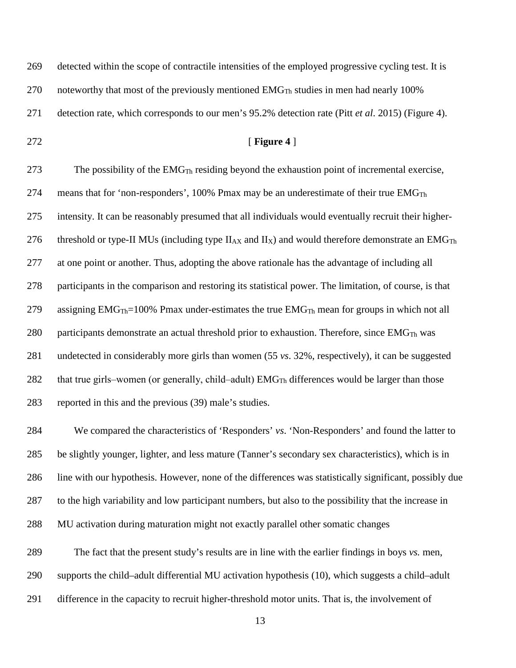detected within the scope of contractile intensities of the employed progressive cycling test. It is 270 noteworthy that most of the previously mentioned  $EMG<sub>Th</sub>$  studies in men had nearly 100% detection rate, which corresponds to our men's 95.2% detection rate (Pitt *et al*. 2015) (Figure 4). [ **Figure 4** ] 273 The possibility of the  $EMG<sub>Th</sub>$  residing beyond the exhaustion point of incremental exercise, 274 means that for 'non-responders', 100% Pmax may be an underestimate of their true  $EMG_{Th}$  intensity. It can be reasonably presumed that all individuals would eventually recruit their higher-276 threshold or type-II MUs (including type  $II_{AX}$  and  $II_X$ ) and would therefore demonstrate an EMG<sub>Th</sub> at one point or another. Thus, adopting the above rationale has the advantage of including all participants in the comparison and restoring its statistical power. The limitation, of course, is that 279 assigning  $EMG_{Th} = 100\%$  Pmax under-estimates the true  $EMG_{Th}$  mean for groups in which not all 280 participants demonstrate an actual threshold prior to exhaustion. Therefore, since  $EMG<sub>Th</sub>$  was undetected in considerably more girls than women (55 *vs*. 32%, respectively), it can be suggested

282 that true girls–women (or generally, child–adult)  $EMG<sub>Th</sub>$  differences would be larger than those reported in this and the previous (39) male's studies.

 We compared the characteristics of 'Responders' *vs*. 'Non-Responders' and found the latter to be slightly younger, lighter, and less mature (Tanner's secondary sex characteristics), which is in line with our hypothesis. However, none of the differences was statistically significant, possibly due to the high variability and low participant numbers, but also to the possibility that the increase in MU activation during maturation might not exactly parallel other somatic changes

 The fact that the present study's results are in line with the earlier findings in boys *vs.* men, supports the child–adult differential MU activation hypothesis (10), which suggests a child–adult difference in the capacity to recruit higher-threshold motor units. That is, the involvement of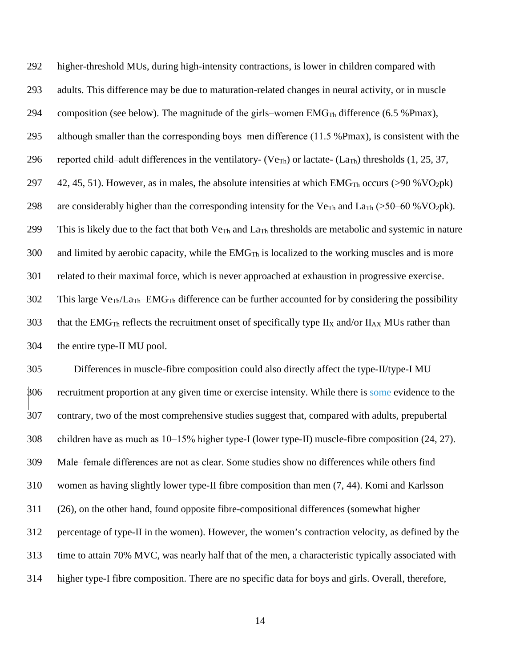292 higher-threshold MUs, during high-intensity contractions, is lower in children compared with 293 adults. This difference may be due to maturation-related changes in neural activity, or in muscle 294 composition (see below). The magnitude of the girls–women  $EMG_{Th}$  difference (6.5 %Pmax), 295 although smaller than the corresponding boys-men difference (11.5 %Pmax), is consistent with the 296 reported child–adult differences in the ventilatory- (Ve<sub>Th</sub>) or lactate- (La<sub>Th</sub>) thresholds (1, 25, 37, 297 42, 45, 51). However, as in males, the absolute intensities at which  $EMG_{Th}$  occurs (>90 %VO<sub>2</sub>pk) 298 are considerably higher than the corresponding intensity for the Ve<sub>Th</sub> and La<sub>Th</sub> (>50–60 % VO<sub>2</sub>pk). 299 This is likely due to the fact that both  $V_{\text{CTh}}$  and  $L_{\text{aTh}}$  thresholds are metabolic and systemic in nature 300 and limited by aerobic capacity, while the  $EMG<sub>Th</sub>$  is localized to the working muscles and is more 301 related to their maximal force, which is never approached at exhaustion in progressive exercise. 302 This large VeTh/LaTh*‒*EMGTh difference can be further accounted for by considering the possibility 303 that the EMG<sub>Th</sub> reflects the recruitment onset of specifically type II<sub>X</sub> and/or II<sub>AX</sub> MUs rather than 304 the entire type-II MU pool.

 Differences in muscle-fibre composition could also directly affect the type-II/type-I MU 306 recruitment proportion at any given time or exercise intensity. While there is some evidence to the contrary, two of the most comprehensive studies suggest that, compared with adults, prepubertal 308 children have as much as 10–15% higher type-I (lower type-II) muscle-fibre composition (24, 27). Male‒female differences are not as clear. Some studies show no differences while others find women as having slightly lower type-II fibre composition than men (7, 44). Komi and Karlsson (26), on the other hand, found opposite fibre-compositional differences (somewhat higher percentage of type-II in the women). However, the women's contraction velocity, as defined by the time to attain 70% MVC, was nearly half that of the men, a characteristic typically associated with higher type-I fibre composition. There are no specific data for boys and girls. Overall, therefore,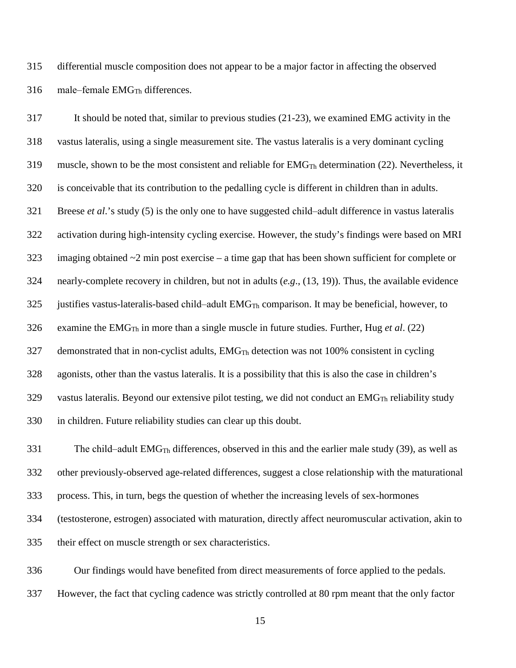differential muscle composition does not appear to be a major factor in affecting the observed male–female EMG<sub>Th</sub> differences.

 It should be noted that, similar to previous studies (21-23), we examined EMG activity in the vastus lateralis, using a single measurement site. The vastus lateralis is a very dominant cycling 319 muscle, shown to be the most consistent and reliable for  $EMG<sub>Th</sub>$  determination (22). Nevertheless, it is conceivable that its contribution to the pedalling cycle is different in children than in adults. 321 Breese *et al*.'s study (5) is the only one to have suggested child-adult difference in vastus lateralis activation during high-intensity cycling exercise. However, the study's findings were based on MRI 323 imaging obtained  $\sim$  2 min post exercise – a time gap that has been shown sufficient for complete or nearly-complete recovery in children, but not in adults (*e.g*., (13, 19)). Thus, the available evidence justifies vastus-lateralis-based child-adult EMG<sub>Th</sub> comparison. It may be beneficial, however, to 326 examine the  $EMG<sub>Th</sub>$  in more than a single muscle in future studies. Further, Hug *et al.* (22) demonstrated that in non-cyclist adults, EMG<sub>Th</sub> detection was not 100% consistent in cycling agonists, other than the vastus lateralis. It is a possibility that this is also the case in children's 329 vastus lateralis. Beyond our extensive pilot testing, we did not conduct an  $EMG<sub>Th</sub>$  reliability study in children. Future reliability studies can clear up this doubt.

331 The child–adult  $EMG_{Th}$  differences, observed in this and the earlier male study (39), as well as other previously-observed age-related differences, suggest a close relationship with the maturational process. This, in turn, begs the question of whether the increasing levels of sex-hormones (testosterone, estrogen) associated with maturation, directly affect neuromuscular activation, akin to their effect on muscle strength or sex characteristics.

 Our findings would have benefited from direct measurements of force applied to the pedals. However, the fact that cycling cadence was strictly controlled at 80 rpm meant that the only factor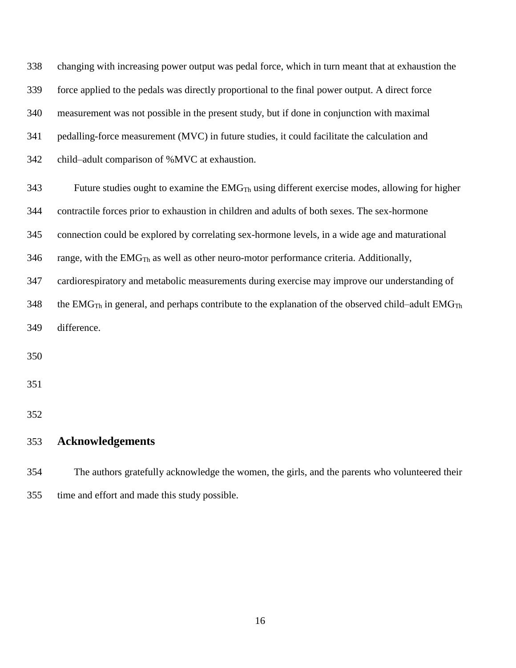changing with increasing power output was pedal force, which in turn meant that at exhaustion the force applied to the pedals was directly proportional to the final power output. A direct force measurement was not possible in the present study, but if done in conjunction with maximal pedalling-force measurement (MVC) in future studies, it could facilitate the calculation and 342 child–adult comparison of %MVC at exhaustion. Future studies ought to examine the EMG<sub>Th</sub> using different exercise modes, allowing for higher contractile forces prior to exhaustion in children and adults of both sexes. The sex-hormone connection could be explored by correlating sex-hormone levels, in a wide age and maturational range, with the EMG<sub>Th</sub> as well as other neuro-motor performance criteria. Additionally, cardiorespiratory and metabolic measurements during exercise may improve our understanding of 348 the EMG<sub>Th</sub> in general, and perhaps contribute to the explanation of the observed child–adult EMG<sub>Th</sub> difference. 

## **Acknowledgements**

 The authors gratefully acknowledge the women, the girls, and the parents who volunteered their time and effort and made this study possible.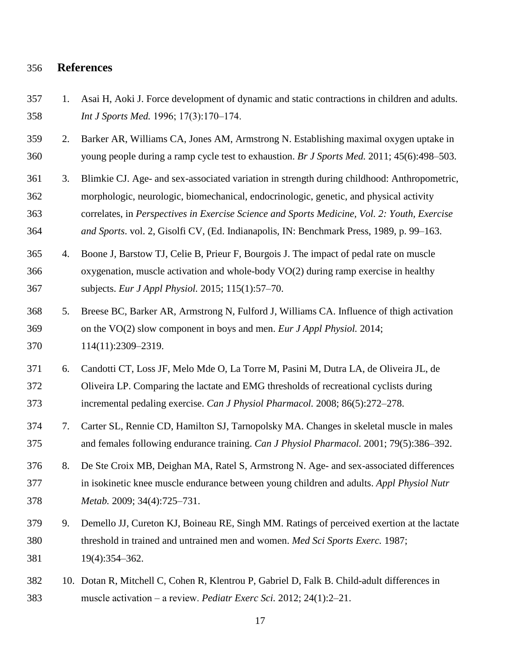#### **References**

- 1. Asai H, Aoki J. Force development of dynamic and static contractions in children and adults. *Int J Sports Med.* 1996; 17(3):170–174.
- 2. Barker AR, Williams CA, Jones AM, Armstrong N. Establishing maximal oxygen uptake in young people during a ramp cycle test to exhaustion. *Br J Sports Med.* 2011; 45(6):498‒503.
- 3. Blimkie CJ. Age- and sex-associated variation in strength during childhood: Anthropometric, morphologic, neurologic, biomechanical, endocrinologic, genetic, and physical activity correlates, in *Perspectives in Exercise Science and Sports Medicine, Vol. 2: Youth, Exercise and Sports.* vol. 2, Gisolfi CV, (Ed. Indianapolis, IN: Benchmark Press, 1989, p. 99–163.
- 4. Boone J, Barstow TJ, Celie B, Prieur F, Bourgois J. The impact of pedal rate on muscle oxygenation, muscle activation and whole-body VO(2) during ramp exercise in healthy subjects. *Eur J Appl Physiol.* 2015; 115(1):57‒70.
- 5. Breese BC, Barker AR, Armstrong N, Fulford J, Williams CA. Influence of thigh activation on the VO(2) slow component in boys and men. *Eur J Appl Physiol.* 2014; 114(11):2309‒2319.
- 6. Candotti CT, Loss JF, Melo Mde O, La Torre M, Pasini M, Dutra LA, de Oliveira JL, de Oliveira LP. Comparing the lactate and EMG thresholds of recreational cyclists during incremental pedaling exercise. *Can J Physiol Pharmacol.* 2008; 86(5):272‒278.
- 7. Carter SL, Rennie CD, Hamilton SJ, Tarnopolsky MA. Changes in skeletal muscle in males and females following endurance training. *Can J Physiol Pharmacol.* 2001; 79(5):386‒392.
- 8. De Ste Croix MB, Deighan MA, Ratel S, Armstrong N. Age- and sex-associated differences in isokinetic knee muscle endurance between young children and adults. *Appl Physiol Nutr Metab.* 2009; 34(4):725–731.
- 9. Demello JJ, Cureton KJ, Boineau RE, Singh MM. Ratings of perceived exertion at the lactate threshold in trained and untrained men and women. *Med Sci Sports Exerc.* 1987; 19(4):354‒362.
- 10. Dotan R, Mitchell C, Cohen R, Klentrou P, Gabriel D, Falk B. Child-adult differences in muscle activation ‒ a review. *Pediatr Exerc Sci.* 2012; 24(1):2‒21.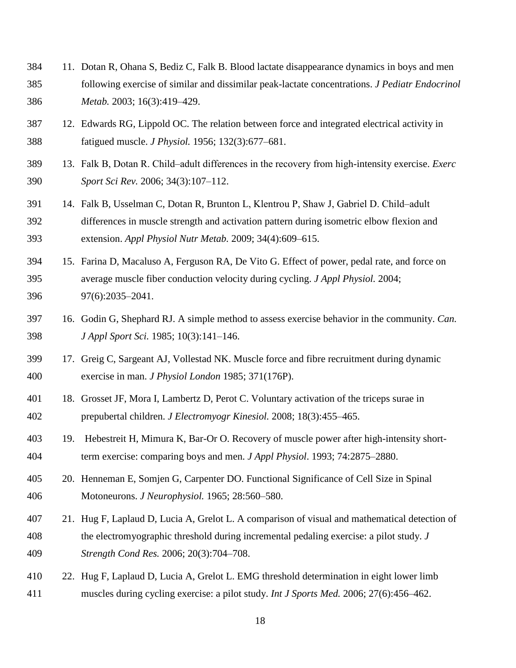- 11. Dotan R, Ohana S, Bediz C, Falk B. Blood lactate disappearance dynamics in boys and men following exercise of similar and dissimilar peak-lactate concentrations. *J Pediatr Endocrinol Metab.* 2003; 16(3):419–429.
- 12. Edwards RG, Lippold OC. The relation between force and integrated electrical activity in fatigued muscle. *J Physiol.* 1956; 132(3):677‒681.
- 13. Falk B, Dotan R. Child‒adult differences in the recovery from high-intensity exercise. *Exerc Sport Sci Rev.* 2006; 34(3):107–112.
- 391 14. Falk B, Usselman C, Dotan R, Brunton L, Klentrou P, Shaw J, Gabriel D. Child-adult differences in muscle strength and activation pattern during isometric elbow flexion and extension. *Appl Physiol Nutr Metab.* 2009; 34(4):609‒615.
- 15. Farina D, Macaluso A, Ferguson RA, De Vito G. Effect of power, pedal rate, and force on average muscle fiber conduction velocity during cycling. *J Appl Physiol.* 2004; 396 97(6):2035–2041.
- 16. Godin G, Shephard RJ. A simple method to assess exercise behavior in the community. *Can. J Appl Sport Sci.* 1985; 10(3):141-146.
- 17. Greig C, Sargeant AJ, Vollestad NK. Muscle force and fibre recruitment during dynamic exercise in man. *J Physiol London* 1985; 371(176P).
- 18. Grosset JF, Mora I, Lambertz D, Perot C. Voluntary activation of the triceps surae in prepubertal children. *J Electromyogr Kinesiol.* 2008; 18(3):455‒465.
- 19. Hebestreit H, Mimura K, Bar-Or O. Recovery of muscle power after high-intensity short-term exercise: comparing boys and men. *J Appl Physiol*. 1993; 74:2875‒2880.
- 20. Henneman E, Somjen G, Carpenter DO. Functional Significance of Cell Size in Spinal Motoneurons. *J Neurophysiol.* 1965; 28:560‒580.
- 21. Hug F, Laplaud D, Lucia A, Grelot L. A comparison of visual and mathematical detection of the electromyographic threshold during incremental pedaling exercise: a pilot study. *J Strength Cond Res.* 2006; 20(3):704‒708.
- 22. Hug F, Laplaud D, Lucia A, Grelot L. EMG threshold determination in eight lower limb muscles during cycling exercise: a pilot study. *Int J Sports Med.* 2006; 27(6):456‒462.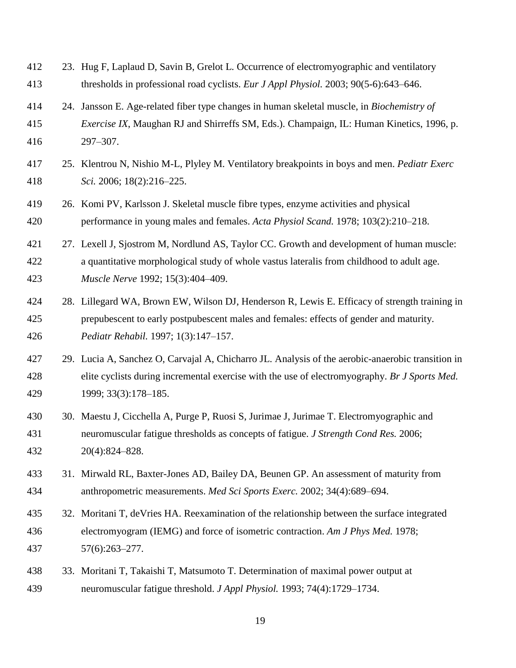- 23. Hug F, Laplaud D, Savin B, Grelot L. Occurrence of electromyographic and ventilatory 413 thresholds in professional road cyclists. *Eur J Appl Physiol*. 2003; 90(5-6):643–646.
- 24. Jansson E. Age-related fiber type changes in human skeletal muscle, in *Biochemistry of Exercise IX*, Maughan RJ and Shirreffs SM, Eds.). Champaign, IL: Human Kinetics, 1996, p. 297‒307.
- 25. Klentrou N, Nishio M-L, Plyley M. Ventilatory breakpoints in boys and men. *Pediatr Exerc Sci.* 2006; 18(2):216‒225.
- 26. Komi PV, Karlsson J. Skeletal muscle fibre types, enzyme activities and physical performance in young males and females. *Acta Physiol Scand.* 1978; 103(2):210‒218.
- 27. Lexell J, Sjostrom M, Nordlund AS, Taylor CC. Growth and development of human muscle: a quantitative morphological study of whole vastus lateralis from childhood to adult age. *Muscle Nerve* 1992; 15(3):404‒409.
- 28. Lillegard WA, Brown EW, Wilson DJ, Henderson R, Lewis E. Efficacy of strength training in prepubescent to early postpubescent males and females: effects of gender and maturity. *Pediatr Rehabil.* 1997; 1(3):147‒157.
- 29. Lucia A, Sanchez O, Carvajal A, Chicharro JL. Analysis of the aerobic-anaerobic transition in elite cyclists during incremental exercise with the use of electromyography. *Br J Sports Med.*  1999; 33(3):178‒185.
- 30. Maestu J, Cicchella A, Purge P, Ruosi S, Jurimae J, Jurimae T. Electromyographic and neuromuscular fatigue thresholds as concepts of fatigue. *J Strength Cond Res.* 2006; 20(4):824‒828.
- 31. Mirwald RL, Baxter-Jones AD, Bailey DA, Beunen GP. An assessment of maturity from 434 anthropometric measurements. *Med Sci Sports Exerc.* 2002; 34(4):689–694.
- 32. Moritani T, deVries HA. Reexamination of the relationship between the surface integrated electromyogram (IEMG) and force of isometric contraction. *Am J Phys Med.* 1978; 57(6):263‒277.
- 33. Moritani T, Takaishi T, Matsumoto T. Determination of maximal power output at 439 neuromuscular fatigue threshold. *J Appl Physiol*. 1993; 74(4):1729–1734.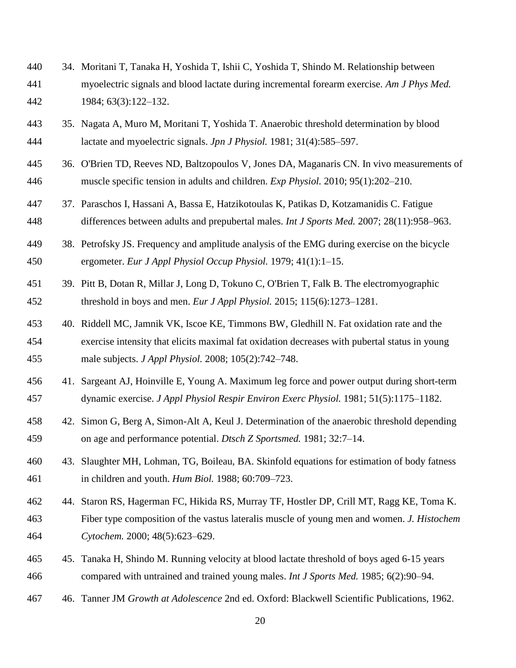- 34. Moritani T, Tanaka H, Yoshida T, Ishii C, Yoshida T, Shindo M. Relationship between myoelectric signals and blood lactate during incremental forearm exercise. *Am J Phys Med.*  1984; 63(3):122‒132.
- 35. Nagata A, Muro M, Moritani T, Yoshida T. Anaerobic threshold determination by blood 444 lactate and myoelectric signals. *Jpn J Physiol.* 1981; 31(4):585–597.
- 36. O'Brien TD, Reeves ND, Baltzopoulos V, Jones DA, Maganaris CN. In vivo measurements of muscle specific tension in adults and children. *Exp Physiol.* 2010; 95(1):202‒210.
- 37. Paraschos I, Hassani A, Bassa E, Hatzikotoulas K, Patikas D, Kotzamanidis C. Fatigue differences between adults and prepubertal males. *Int J Sports Med.* 2007; 28(11):958‒963.
- 38. Petrofsky JS. Frequency and amplitude analysis of the EMG during exercise on the bicycle ergometer. *Eur J Appl Physiol Occup Physiol.* 1979; 41(1):1‒15.
- 39. Pitt B, Dotan R, Millar J, Long D, Tokuno C, O'Brien T, Falk B. The electromyographic 452 threshold in boys and men. *Eur J Appl Physiol.* 2015; 115(6):1273–1281.
- 40. Riddell MC, Jamnik VK, Iscoe KE, Timmons BW, Gledhill N. Fat oxidation rate and the exercise intensity that elicits maximal fat oxidation decreases with pubertal status in young male subjects. *J Appl Physiol.* 2008; 105(2):742‒748.
- 41. Sargeant AJ, Hoinville E, Young A. Maximum leg force and power output during short-term 457 dynamic exercise. *J Appl Physiol Respir Environ Exerc Physiol.* 1981; 51(5):1175–1182.
- 42. Simon G, Berg A, Simon-Alt A, Keul J. Determination of the anaerobic threshold depending on age and performance potential. *Dtsch Z Sportsmed.* 1981; 32:7‒14.
- 43. Slaughter MH, Lohman, TG, Boileau, BA. Skinfold equations for estimation of body fatness 461 in children and youth. *Hum Biol.* 1988; 60:709–723.
- 44. Staron RS, Hagerman FC, Hikida RS, Murray TF, Hostler DP, Crill MT, Ragg KE, Toma K. Fiber type composition of the vastus lateralis muscle of young men and women. *J. Histochem Cytochem.* 2000; 48(5):623–629.
- 45. Tanaka H, Shindo M. Running velocity at blood lactate threshold of boys aged 6-15 years compared with untrained and trained young males. *Int J Sports Med.* 1985; 6(2):90‒94.
- 46. Tanner JM *Growth at Adolescence* 2nd ed. Oxford: Blackwell Scientific Publications, 1962.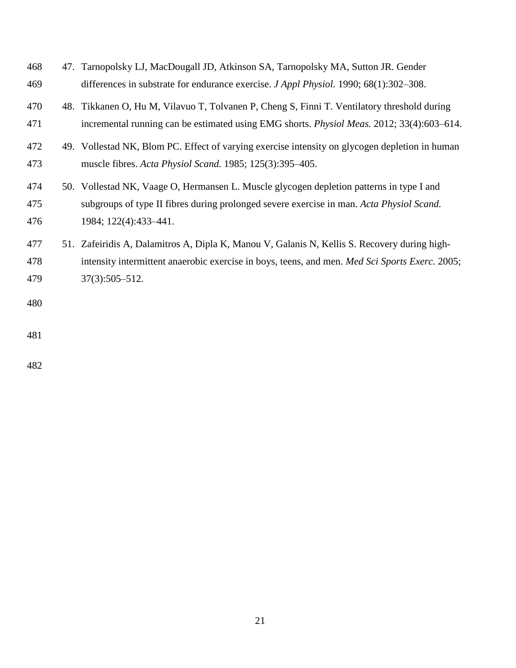| 468 | 47. Tarnopolsky LJ, MacDougall JD, Atkinson SA, Tarnopolsky MA, Sutton JR. Gender                 |
|-----|---------------------------------------------------------------------------------------------------|
| 469 | differences in substrate for endurance exercise. J Appl Physiol. 1990; 68(1):302-308.             |
| 470 | 48. Tikkanen O, Hu M, Vilavuo T, Tolvanen P, Cheng S, Finni T. Ventilatory threshold during       |
| 471 | incremental running can be estimated using EMG shorts. <i>Physiol Meas</i> . 2012; 33(4):603–614. |
| 472 | 49. Vollestad NK, Blom PC. Effect of varying exercise intensity on glycogen depletion in human    |
| 473 | muscle fibres. Acta Physiol Scand. 1985; 125(3):395–405.                                          |
| 474 | 50. Vollestad NK, Vaage O, Hermansen L. Muscle glycogen depletion patterns in type I and          |
| 475 | subgroups of type II fibres during prolonged severe exercise in man. Acta Physiol Scand.          |
| 476 | 1984; 122(4):433-441.                                                                             |
| 477 | 51. Zafeiridis A, Dalamitros A, Dipla K, Manou V, Galanis N, Kellis S. Recovery during high-      |
| 478 | intensity intermittent anaerobic exercise in boys, teens, and men. Med Sci Sports Exerc. 2005;    |
| 479 | $37(3):505 - 512.$                                                                                |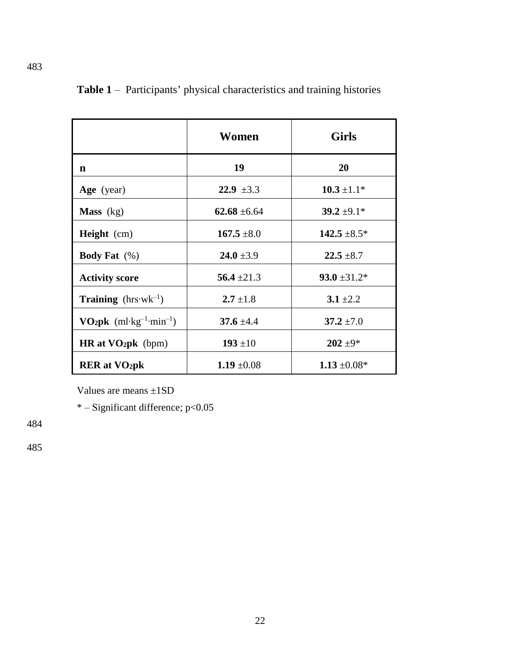|                                                                   | Women            | <b>Girls</b>      |
|-------------------------------------------------------------------|------------------|-------------------|
| n                                                                 | 19               | <b>20</b>         |
| Age (year)                                                        | 22.9 $\pm 3.3$   | $10.3 \pm 1.1*$   |
| <b>Mass</b> $(kg)$                                                | $62.68 \pm 6.64$ | $39.2 \pm 9.1*$   |
| <b>Height</b> (cm)                                                | $167.5 \pm 8.0$  | $142.5 \pm 8.5^*$ |
| <b>Body Fat</b> $(\%)$                                            | $24.0 \pm 3.9$   | $22.5 \pm 8.7$    |
| <b>Activity score</b>                                             | 56.4 $\pm 21.3$  | $93.0 \pm 31.2^*$ |
| <b>Training</b> ( $hrs·wk^{-1}$ )                                 | $2.7 \pm 1.8$    | $3.1 \pm 2.2$     |
| <b>VO<sub>2</sub>pk</b> (ml·kg <sup>-1</sup> ·min <sup>-1</sup> ) | 37.6 $\pm 4.4$   | $37.2 \pm 7.0$    |
| $HR$ at $VO2pk$ (bpm)                                             | $193 + 10$       | $202 + 9*$        |
| <b>RER</b> at VO <sub>2</sub> pk                                  | 1.19 $\pm 0.08$  | $1.13 \pm 0.08^*$ |

Table 1 – Participants' physical characteristics and training histories

Values are means ±1SD

\* ‒ Significant difference; p<0.05

484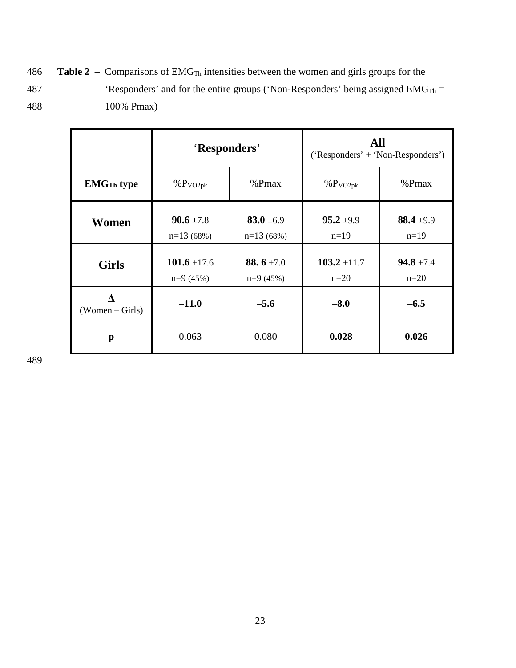486 **Table 2** – Comparisons of EMG<sub>Th</sub> intensities between the women and girls groups for the 487 'Responders' and for the entire groups ('Non-Responders' being assigned  $EMG_{Th} =$ 488 100% Pmax)

|                              | 'Responders'                   |                               | All<br>('Responders' + 'Non-Responders') |                          |
|------------------------------|--------------------------------|-------------------------------|------------------------------------------|--------------------------|
| <b>EMG<sub>Th</sub></b> type | %P <sub>VO2pk</sub>            | %Pmax                         | %P <sub>VO2pk</sub>                      | %Pmax                    |
| Women                        | $90.6 \pm 7.8$<br>$n=13(68%)$  | 83.0 $\pm 6.9$<br>$n=13(68%)$ | $95.2 \pm 9.9$<br>$n=19$                 | 88.4 $\pm$ 9.9<br>$n=19$ |
| <b>Girls</b>                 | 101.6 $\pm$ 17.6<br>$n=9(45%)$ | 88.6 $\pm$ 7.0<br>$n=9(45%)$  | $103.2 \pm 11.7$<br>$n=20$               | $94.8 \pm 7.4$<br>$n=20$ |
| $(Women - Girls)$            | $-11.0$                        | $-5.6$                        | $-8.0$                                   | $-6.5$                   |
| p                            | 0.063                          | 0.080                         | 0.028                                    | 0.026                    |